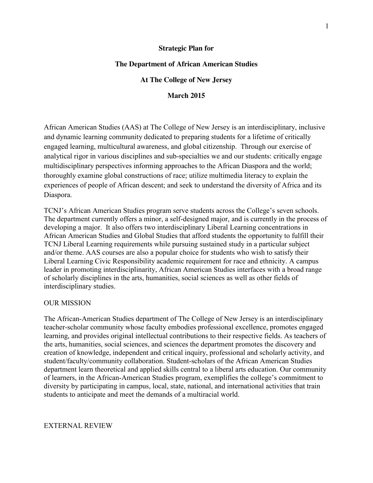#### **Strategic Plan for**

#### **The Department of African American Studies**

#### **At The College of New Jersey**

#### **March 2015**

African American Studies (AAS) at The College of New Jersey is an interdisciplinary, inclusive and dynamic learning community dedicated to preparing students for a lifetime of critically engaged learning, multicultural awareness, and global citizenship. Through our exercise of analytical rigor in various disciplines and sub-specialties we and our students: critically engage multidisciplinary perspectives informing approaches to the African Diaspora and the world; thoroughly examine global constructions of race; utilize multimedia literacy to explain the experiences of people of African descent; and seek to understand the diversity of Africa and its Diaspora.

TCNJ's African American Studies program serve students across the College's seven schools. The department currently offers a minor, a self-designed major, and is currently in the process of developing a major. It also offers two interdisciplinary Liberal Learning concentrations in African American Studies and Global Studies that afford students the opportunity to fulfill their TCNJ Liberal Learning requirements while pursuing sustained study in a particular subject and/or theme. AAS courses are also a popular choice for students who wish to satisfy their Liberal Learning Civic Responsibility academic requirement for race and ethnicity. A campus leader in promoting interdisciplinarity, African American Studies interfaces with a broad range of scholarly disciplines in the arts, humanities, social sciences as well as other fields of interdisciplinary studies.

#### OUR MISSION

The African-American Studies department of The College of New Jersey is an interdisciplinary teacher-scholar community whose faculty embodies professional excellence, promotes engaged learning, and provides original intellectual contributions to their respective fields. As teachers of the arts, humanities, social sciences, and sciences the department promotes the discovery and creation of knowledge, independent and critical inquiry, professional and scholarly activity, and student/faculty/community collaboration. Student-scholars of the African American Studies department learn theoretical and applied skills central to a liberal arts education. Our community of learners, in the African-American Studies program, exemplifies the college's commitment to diversity by participating in campus, local, state, national, and international activities that train students to anticipate and meet the demands of a multiracial world.

#### EXTERNAL REVIEW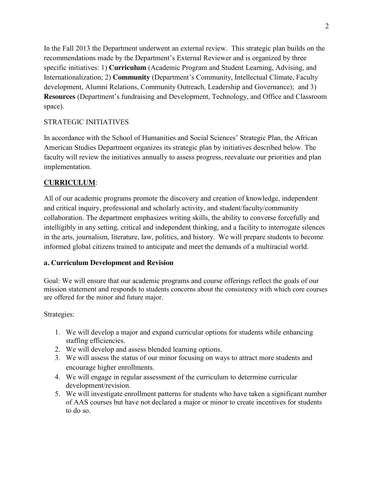In the Fall 2013 the Department underwent an external review. This strategic plan builds on the recommendations made by the Department's External Reviewer and is organized by three specific initiatives: 1) **Curriculum** (Academic Program and Student Learning, Advising, and Internationalization; 2) **Community** (Department's Community, Intellectual Climate, Faculty development, Alumni Relations, Community Outreach, Leadership and Governance); and 3) **Resources** (Department's fundraising and Development, Technology, and Office and Classroom space).

## STRATEGIC INITIATIVES

In accordance with the School of Humanities and Social Sciences' Strategic Plan, the African American Studies Department organizes its strategic plan by initiatives described below. The faculty will review the initiatives annually to assess progress, reevaluate our priorities and plan implementation.

## **CURRICULUM**:

All of our academic programs promote the discovery and creation of knowledge, independent and critical inquiry, professional and scholarly activity, and student/faculty/community collaboration. The department emphasizes writing skills, the ability to converse forcefully and intelligibly in any setting, critical and independent thinking, and a facility to interrogate silences in the arts, journalism, literature, law, politics, and history. We will prepare students to become informed global citizens trained to anticipate and meet the demands of a multiracial world.

### **a. Curriculum Development and Revision**

Goal: We will ensure that our academic programs and course offerings reflect the goals of our mission statement and responds to students concerns about the consistency with which core courses are offered for the minor and future major.

- 1. We will develop a major and expand curricular options for students while enhancing staffing efficiencies.
- 2. We will develop and assess blended learning options.
- 3. We will assess the status of our minor focusing on ways to attract more students and encourage higher enrollments.
- 4. We will engage in regular assessment of the curriculum to determine curricular development/revision.
- 5. We will investigate enrollment patterns for students who have taken a significant number of AAS courses but have not declared a major or minor to create incentives for students to do so.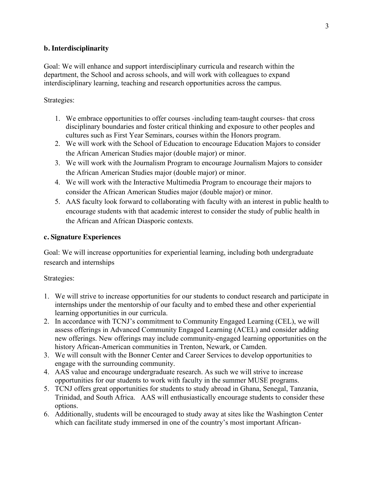### **b. Interdisciplinarity**

Goal: We will enhance and support interdisciplinary curricula and research within the department, the School and across schools, and will work with colleagues to expand interdisciplinary learning, teaching and research opportunities across the campus.

#### Strategies:

- 1. We embrace opportunities to offer courses -including team-taught courses- that cross disciplinary boundaries and foster critical thinking and exposure to other peoples and cultures such as First Year Seminars, courses within the Honors program.
- 2. We will work with the School of Education to encourage Education Majors to consider the African American Studies major (double major) or minor.
- 3. We will work with the Journalism Program to encourage Journalism Majors to consider the African American Studies major (double major) or minor.
- 4. We will work with the Interactive Multimedia Program to encourage their majors to consider the African American Studies major (double major) or minor.
- 5. AAS faculty look forward to collaborating with faculty with an interest in public health to encourage students with that academic interest to consider the study of public health in the African and African Diasporic contexts.

#### **c. Signature Experiences**

Goal: We will increase opportunities for experiential learning, including both undergraduate research and internships

- 1. We will strive to increase opportunities for our students to conduct research and participate in internships under the mentorship of our faculty and to embed these and other experiential learning opportunities in our curricula.
- 2. In accordance with TCNJ's commitment to Community Engaged Learning (CEL), we will assess offerings in Advanced Community Engaged Learning (ACEL) and consider adding new offerings. New offerings may include community-engaged learning opportunities on the history African-American communities in Trenton, Newark, or Camden.
- 3. We will consult with the Bonner Center and Career Services to develop opportunities to engage with the surrounding community.
- 4. AAS value and encourage undergraduate research. As such we will strive to increase opportunities for our students to work with faculty in the summer MUSE programs.
- 5. TCNJ offers great opportunities for students to study abroad in Ghana, Senegal, Tanzania, Trinidad, and South Africa. AAS will enthusiastically encourage students to consider these options.
- 6. Additionally, students will be encouraged to study away at sites like the Washington Center which can facilitate study immersed in one of the country's most important African-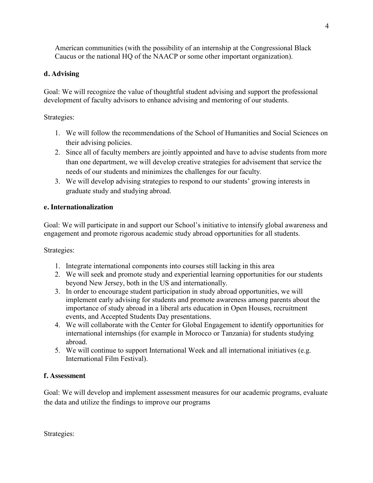American communities (with the possibility of an internship at the Congressional Black Caucus or the national HQ of the NAACP or some other important organization).

# **d. Advising**

Goal: We will recognize the value of thoughtful student advising and support the professional development of faculty advisors to enhance advising and mentoring of our students.

# Strategies:

- 1. We will follow the recommendations of the School of Humanities and Social Sciences on their advising policies.
- 2. Since all of faculty members are jointly appointed and have to advise students from more than one department, we will develop creative strategies for advisement that service the needs of our students and minimizes the challenges for our faculty.
- 3. We will develop advising strategies to respond to our students' growing interests in graduate study and studying abroad.

# **e. Internationalization**

Goal: We will participate in and support our School's initiative to intensify global awareness and engagement and promote rigorous academic study abroad opportunities for all students.

Strategies:

- 1. Integrate international components into courses still lacking in this area
- 2. We will seek and promote study and experiential learning opportunities for our students beyond New Jersey, both in the US and internationally.
- 3. In order to encourage student participation in study abroad opportunities, we will implement early advising for students and promote awareness among parents about the importance of study abroad in a liberal arts education in Open Houses, recruitment events, and Accepted Students Day presentations.
- 4. We will collaborate with the Center for Global Engagement to identify opportunities for international internships (for example in Morocco or Tanzania) for students studying abroad.
- 5. We will continue to support International Week and all international initiatives (e.g. International Film Festival).

# **f. Assessment**

Goal: We will develop and implement assessment measures for our academic programs, evaluate the data and utilize the findings to improve our programs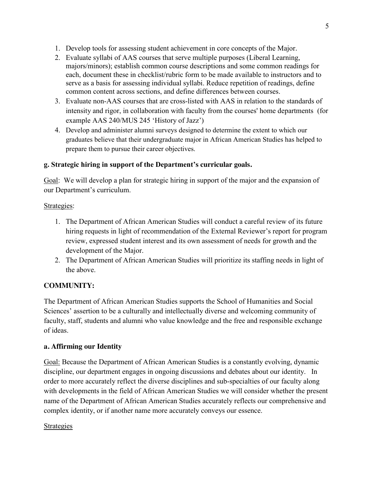- 1. Develop tools for assessing student achievement in core concepts of the Major.
- 2. Evaluate syllabi of AAS courses that serve multiple purposes (Liberal Learning, majors/minors); establish common course descriptions and some common readings for each, document these in checklist/rubric form to be made available to instructors and to serve as a basis for assessing individual syllabi. Reduce repetition of readings, define common content across sections, and define differences between courses.
- 3. Evaluate non-AAS courses that are cross-listed with AAS in relation to the standards of intensity and rigor, in collaboration with faculty from the courses' home departments (for example AAS 240/MUS 245 'History of Jazz')
- 4. Develop and administer alumni surveys designed to determine the extent to which our graduates believe that their undergraduate major in African American Studies has helped to prepare them to pursue their career objectives.

# **g. Strategic hiring in support of the Department's curricular goals.**

Goal: We will develop a plan for strategic hiring in support of the major and the expansion of our Department's curriculum.

# Strategies:

- 1. The Department of African American Studies will conduct a careful review of its future hiring requests in light of recommendation of the External Reviewer's report for program review, expressed student interest and its own assessment of needs for growth and the development of the Major.
- 2. The Department of African American Studies will prioritize its staffing needs in light of the above.

# **COMMUNITY:**

The Department of African American Studies supports the School of Humanities and Social Sciences' assertion to be a culturally and intellectually diverse and welcoming community of faculty, staff, students and alumni who value knowledge and the free and responsible exchange of ideas.

# **a. Affirming our Identity**

Goal: Because the Department of African American Studies is a constantly evolving, dynamic discipline, our department engages in ongoing discussions and debates about our identity. In order to more accurately reflect the diverse disciplines and sub-specialties of our faculty along with developments in the field of African American Studies we will consider whether the present name of the Department of African American Studies accurately reflects our comprehensive and complex identity, or if another name more accurately conveys our essence.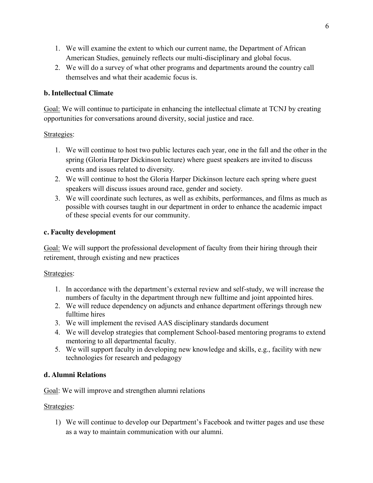- 1. We will examine the extent to which our current name, the Department of African American Studies, genuinely reflects our multi-disciplinary and global focus.
- 2. We will do a survey of what other programs and departments around the country call themselves and what their academic focus is.

### **b. Intellectual Climate**

Goal: We will continue to participate in enhancing the intellectual climate at TCNJ by creating opportunities for conversations around diversity, social justice and race.

### Strategies:

- 1. We will continue to host two public lectures each year, one in the fall and the other in the spring (Gloria Harper Dickinson lecture) where guest speakers are invited to discuss events and issues related to diversity.
- 2. We will continue to host the Gloria Harper Dickinson lecture each spring where guest speakers will discuss issues around race, gender and society.
- 3. We will coordinate such lectures, as well as exhibits, performances, and films as much as possible with courses taught in our department in order to enhance the academic impact of these special events for our community.

### **c. Faculty development**

Goal: We will support the professional development of faculty from their hiring through their retirement, through existing and new practices

### Strategies:

- 1. In accordance with the department's external review and self-study, we will increase the numbers of faculty in the department through new fulltime and joint appointed hires.
- 2. We will reduce dependency on adjuncts and enhance department offerings through new fulltime hires
- 3. We will implement the revised AAS disciplinary standards document
- 4. We will develop strategies that complement School-based mentoring programs to extend mentoring to all departmental faculty.
- 5. We will support faculty in developing new knowledge and skills, e.g., facility with new technologies for research and pedagogy

### **d. Alumni Relations**

Goal: We will improve and strengthen alumni relations

### Strategies:

1) We will continue to develop our Department's Facebook and twitter pages and use these as a way to maintain communication with our alumni.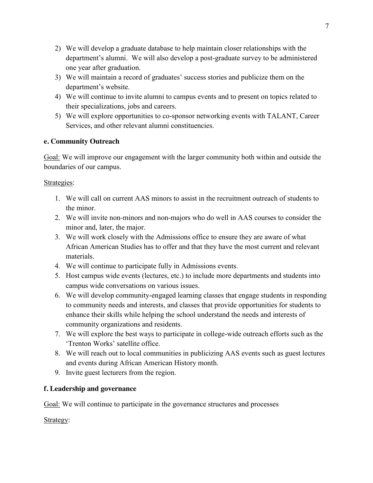- 2) We will develop a graduate database to help maintain closer relationships with the department's alumni. We will also develop a post-graduate survey to be administered one year after graduation.
- 3) We will maintain a record of graduates' success stories and publicize them on the department's website.
- 4) We will continue to invite alumni to campus events and to present on topics related to their specializations, jobs and careers.
- 5) We will explore opportunities to co-sponsor networking events with TALANT, Career Services, and other relevant alumni constituencies.

# **e. Community Outreach**

Goal: We will improve our engagement with the larger community both within and outside the boundaries of our campus.

## Strategies:

- 1. We will call on current AAS minors to assist in the recruitment outreach of students to the minor.
- 2. We will invite non-minors and non-majors who do well in AAS courses to consider the minor and, later, the major.
- 3. We will work closely with the Admissions office to ensure they are aware of what African American Studies has to offer and that they have the most current and relevant materials.
- 4. We will continue to participate fully in Admissions events.
- 5. Host campus wide events (lectures, etc.) to include more departments and students into campus wide conversations on various issues.
- 6. We will develop community-engaged learning classes that engage students in responding to community needs and interests, and classes that provide opportunities for students to enhance their skills while helping the school understand the needs and interests of community organizations and residents.
- 7. We will explore the best ways to participate in college-wide outreach efforts such as the 'Trenton Works' satellite office.
- 8. We will reach out to local communities in publicizing AAS events such as guest lectures and events during African American History month.
- 9. Invite guest lecturers from the region.

# **f. Leadership and governance**

Goal: We will continue to participate in the governance structures and processes

Strategy: